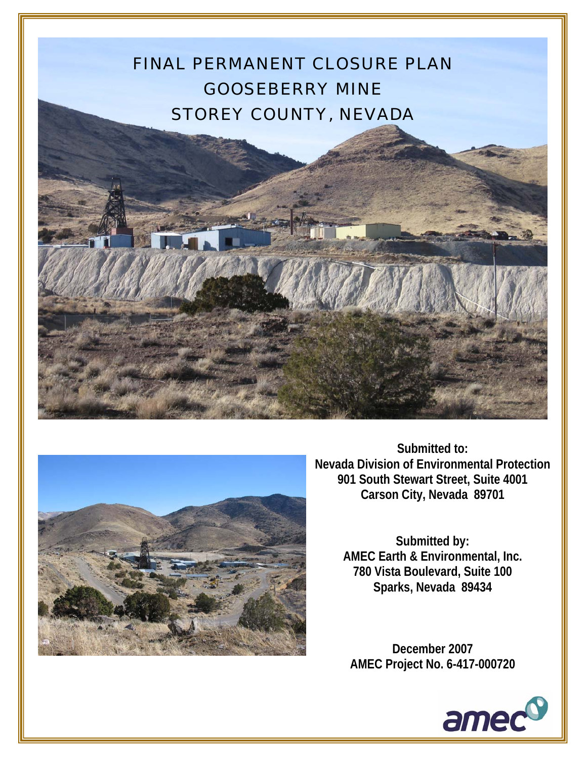



**Submitted to: Nevada Division of Environmental Protection 901 South Stewart Street, Suite 4001 Carson City, Nevada 89701** 

> **Submitted by: AMEC Earth & Environmental, Inc. 780 Vista Boulevard, Suite 100 Sparks, Nevada 89434**

**December 2007 AMEC Project No. 6-417-000720** 

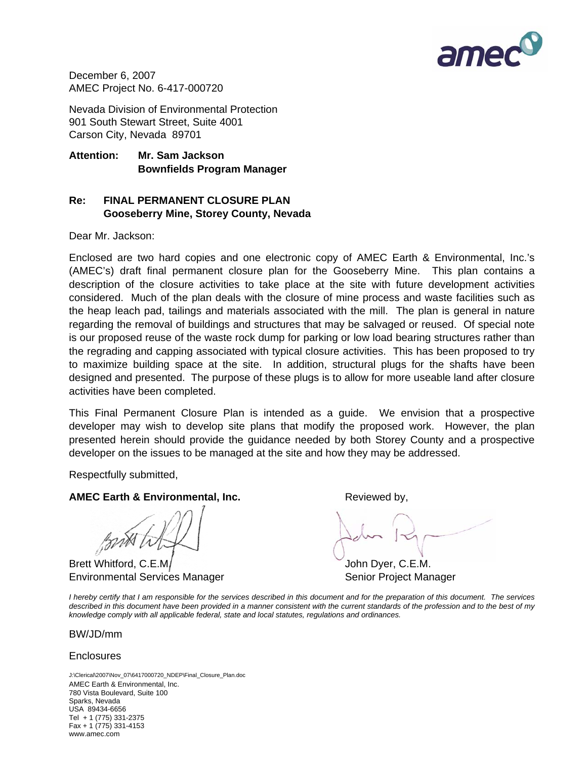

December 6, 2007 AMEC Project No. 6-417-000720

Nevada Division of Environmental Protection 901 South Stewart Street, Suite 4001 Carson City, Nevada 89701

**Attention: Mr. Sam Jackson Bownfields Program Manager** 

### **Re: FINAL PERMANENT CLOSURE PLAN Gooseberry Mine, Storey County, Nevada**

Dear Mr. Jackson:

Enclosed are two hard copies and one electronic copy of AMEC Earth & Environmental, Inc.'s (AMEC's) draft final permanent closure plan for the Gooseberry Mine. This plan contains a description of the closure activities to take place at the site with future development activities considered. Much of the plan deals with the closure of mine process and waste facilities such as the heap leach pad, tailings and materials associated with the mill. The plan is general in nature regarding the removal of buildings and structures that may be salvaged or reused. Of special note is our proposed reuse of the waste rock dump for parking or low load bearing structures rather than the regrading and capping associated with typical closure activities. This has been proposed to try to maximize building space at the site. In addition, structural plugs for the shafts have been designed and presented. The purpose of these plugs is to allow for more useable land after closure activities have been completed.

This Final Permanent Closure Plan is intended as a guide. We envision that a prospective developer may wish to develop site plans that modify the proposed work. However, the plan presented herein should provide the guidance needed by both Storey County and a prospective developer on the issues to be managed at the site and how they may be addressed.

Respectfully submitted,

**AMEC Earth & Environmental, Inc. Reviewed by, Reviewed by, Reviewed by, Reviewed by, Reviewed by, Reviewed by, Reviewed by, Reviewed by, Reviewed by, Reviewed by, Reviewed by, Reviewed by, Reviewed by, Reviewed by, Revi** 

Brett Whitford, C.E.M. John Dyer, C.E.M. Environmental Services Manager Senior Project Manager

*I hereby certify that I am responsible for the services described in this document and for the preparation of this document. The services described in this document have been provided in a manner consistent with the current standards of the profession and to the best of my knowledge comply with all applicable federal, state and local statutes, regulations and ordinances.*

BW/JD/mm

#### **Enclosures**

AMEC Earth & Environmental, Inc. 780 Vista Boulevard, Suite 100 Sparks, Nevada USA 89434-6656 Tel + 1 (775) 331-2375 Fax + 1 (775) 331-4153 www.amec.com J:\Clerical\2007\Nov\_07\6417000720\_NDEP\Final\_Closure\_Plan.doc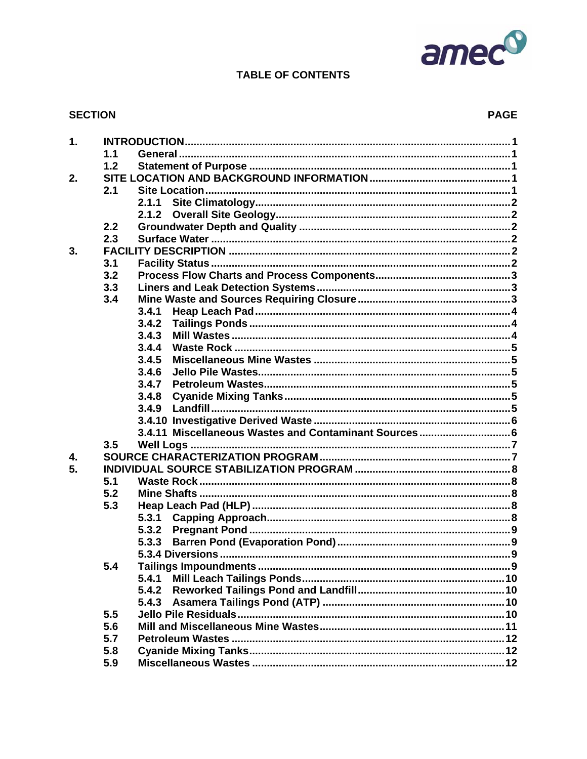

# **TABLE OF CONTENTS**

#### **SECTION**

#### **PAGE**

| 1.               |     |                                                       |  |
|------------------|-----|-------------------------------------------------------|--|
|                  | 1.1 |                                                       |  |
|                  | 1.2 |                                                       |  |
| 2.               |     |                                                       |  |
|                  | 2.1 |                                                       |  |
|                  |     | 2.1.1                                                 |  |
|                  |     | 2.1.2                                                 |  |
|                  | 2.2 |                                                       |  |
|                  | 2.3 |                                                       |  |
| 3.               |     |                                                       |  |
|                  | 3.1 |                                                       |  |
|                  | 3.2 |                                                       |  |
|                  | 3.3 |                                                       |  |
|                  | 3.4 |                                                       |  |
|                  |     | 3.4.1                                                 |  |
|                  |     | 3.4.2                                                 |  |
|                  |     | 3.4.3                                                 |  |
|                  |     | 3.4.4                                                 |  |
|                  |     | 3.4.5                                                 |  |
|                  |     | 3.4.6                                                 |  |
|                  |     | 3.4.7                                                 |  |
|                  |     | 3.4.8                                                 |  |
|                  |     | 3.4.9                                                 |  |
|                  |     |                                                       |  |
|                  |     | 3.4.11 Miscellaneous Wastes and Contaminant Sources 6 |  |
|                  | 3.5 |                                                       |  |
| $\overline{4}$ . |     |                                                       |  |
| 5.               |     |                                                       |  |
|                  | 5.1 |                                                       |  |
|                  | 5.2 |                                                       |  |
|                  | 5.3 |                                                       |  |
|                  |     | 5.3.1                                                 |  |
|                  |     | 5.3.2                                                 |  |
|                  |     | 5.3.3                                                 |  |
|                  |     |                                                       |  |
|                  | 54  |                                                       |  |
|                  |     |                                                       |  |
|                  |     | 5.4.2                                                 |  |
|                  |     |                                                       |  |
|                  | 5.5 |                                                       |  |
|                  | 5.6 |                                                       |  |
|                  | 5.7 |                                                       |  |
|                  | 5.8 |                                                       |  |
|                  | 5.9 |                                                       |  |
|                  |     |                                                       |  |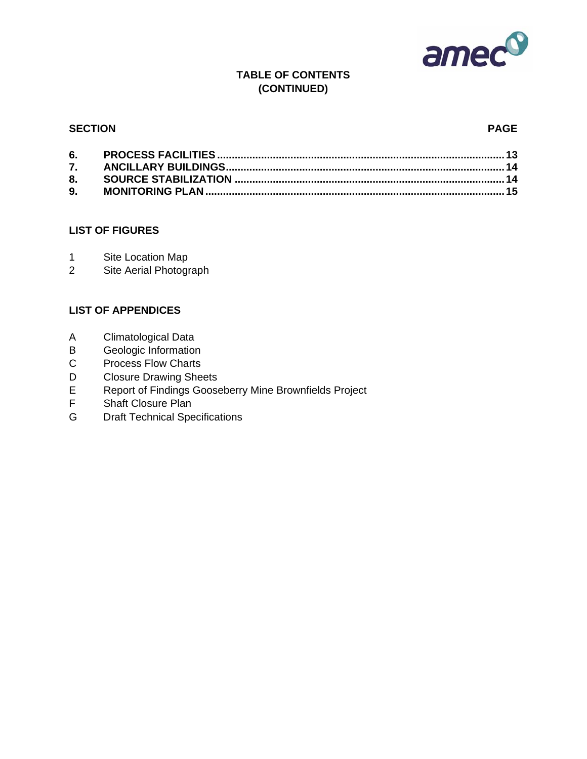

# **TABLE OF CONTENTS (CONTINUED)**

#### **SECTION PAGE**

#### **LIST OF FIGURES**

- 1 Site Location Map
- 2 Site Aerial Photograph

### **LIST OF APPENDICES**

- A Climatological Data
- B Geologic Information
- C Process Flow Charts
- D Closure Drawing Sheets
- E Report of Findings Gooseberry Mine Brownfields Project
- F Shaft Closure Plan
- G Draft Technical Specifications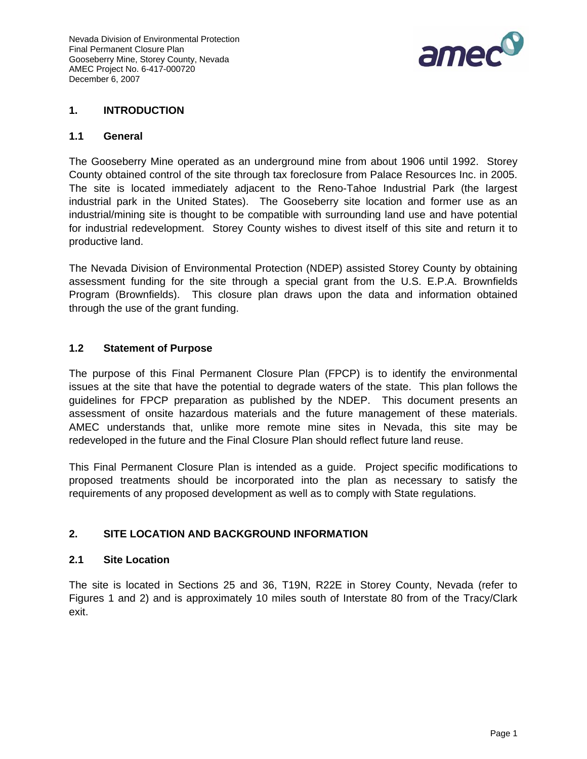

## <span id="page-4-0"></span>**1. INTRODUCTION**

### **1.1 General**

The Gooseberry Mine operated as an underground mine from about 1906 until 1992. Storey County obtained control of the site through tax foreclosure from Palace Resources Inc. in 2005. The site is located immediately adjacent to the Reno-Tahoe Industrial Park (the largest industrial park in the United States). The Gooseberry site location and former use as an industrial/mining site is thought to be compatible with surrounding land use and have potential for industrial redevelopment. Storey County wishes to divest itself of this site and return it to productive land.

The Nevada Division of Environmental Protection (NDEP) assisted Storey County by obtaining assessment funding for the site through a special grant from the U.S. E.P.A. Brownfields Program (Brownfields). This closure plan draws upon the data and information obtained through the use of the grant funding.

### **1.2 Statement of Purpose**

The purpose of this Final Permanent Closure Plan (FPCP) is to identify the environmental issues at the site that have the potential to degrade waters of the state. This plan follows the guidelines for FPCP preparation as published by the NDEP. This document presents an assessment of onsite hazardous materials and the future management of these materials. AMEC understands that, unlike more remote mine sites in Nevada, this site may be redeveloped in the future and the Final Closure Plan should reflect future land reuse.

This Final Permanent Closure Plan is intended as a guide. Project specific modifications to proposed treatments should be incorporated into the plan as necessary to satisfy the requirements of any proposed development as well as to comply with State regulations.

### **2. SITE LOCATION AND BACKGROUND INFORMATION**

#### **2.1 Site Location**

The site is located in Sections 25 and 36, T19N, R22E in Storey County, Nevada (refer to Figures 1 and 2) and is approximately 10 miles south of Interstate 80 from of the Tracy/Clark exit.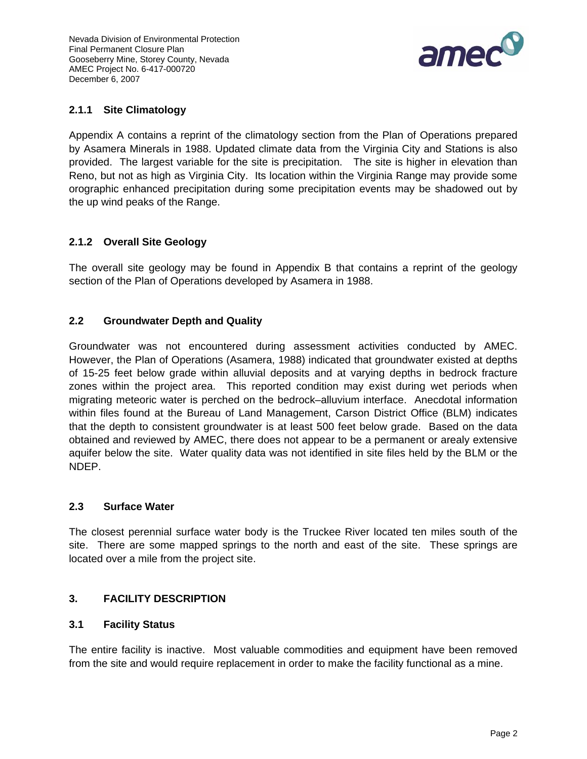

## <span id="page-5-0"></span>**2.1.1 Site Climatology**

Appendix A contains a reprint of the climatology section from the Plan of Operations prepared by Asamera Minerals in 1988. Updated climate data from the Virginia City and Stations is also provided. The largest variable for the site is precipitation. The site is higher in elevation than Reno, but not as high as Virginia City. Its location within the Virginia Range may provide some orographic enhanced precipitation during some precipitation events may be shadowed out by the up wind peaks of the Range.

## **2.1.2 Overall Site Geology**

The overall site geology may be found in Appendix B that contains a reprint of the geology section of the Plan of Operations developed by Asamera in 1988.

## **2.2 Groundwater Depth and Quality**

Groundwater was not encountered during assessment activities conducted by AMEC. However, the Plan of Operations (Asamera, 1988) indicated that groundwater existed at depths of 15-25 feet below grade within alluvial deposits and at varying depths in bedrock fracture zones within the project area. This reported condition may exist during wet periods when migrating meteoric water is perched on the bedrock–alluvium interface. Anecdotal information within files found at the Bureau of Land Management, Carson District Office (BLM) indicates that the depth to consistent groundwater is at least 500 feet below grade. Based on the data obtained and reviewed by AMEC, there does not appear to be a permanent or arealy extensive aquifer below the site. Water quality data was not identified in site files held by the BLM or the NDEP.

### **2.3 Surface Water**

The closest perennial surface water body is the Truckee River located ten miles south of the site. There are some mapped springs to the north and east of the site. These springs are located over a mile from the project site.

# **3. FACILITY DESCRIPTION**

### **3.1 Facility Status**

The entire facility is inactive. Most valuable commodities and equipment have been removed from the site and would require replacement in order to make the facility functional as a mine.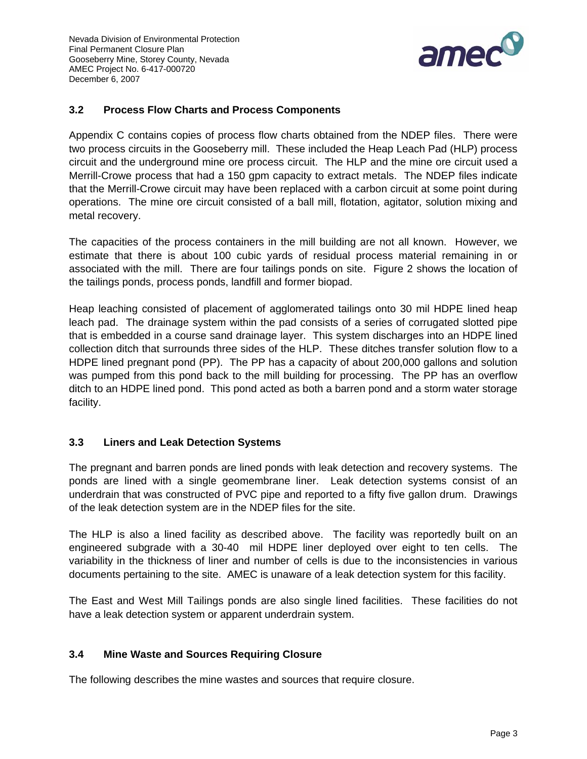

## <span id="page-6-0"></span>**3.2 Process Flow Charts and Process Components**

Appendix C contains copies of process flow charts obtained from the NDEP files. There were two process circuits in the Gooseberry mill. These included the Heap Leach Pad (HLP) process circuit and the underground mine ore process circuit. The HLP and the mine ore circuit used a Merrill-Crowe process that had a 150 gpm capacity to extract metals. The NDEP files indicate that the Merrill-Crowe circuit may have been replaced with a carbon circuit at some point during operations. The mine ore circuit consisted of a ball mill, flotation, agitator, solution mixing and metal recovery.

The capacities of the process containers in the mill building are not all known. However, we estimate that there is about 100 cubic yards of residual process material remaining in or associated with the mill. There are four tailings ponds on site. Figure 2 shows the location of the tailings ponds, process ponds, landfill and former biopad.

Heap leaching consisted of placement of agglomerated tailings onto 30 mil HDPE lined heap leach pad. The drainage system within the pad consists of a series of corrugated slotted pipe that is embedded in a course sand drainage layer. This system discharges into an HDPE lined collection ditch that surrounds three sides of the HLP. These ditches transfer solution flow to a HDPE lined pregnant pond (PP). The PP has a capacity of about 200,000 gallons and solution was pumped from this pond back to the mill building for processing. The PP has an overflow ditch to an HDPE lined pond. This pond acted as both a barren pond and a storm water storage facility.

### **3.3 Liners and Leak Detection Systems**

The pregnant and barren ponds are lined ponds with leak detection and recovery systems. The ponds are lined with a single geomembrane liner. Leak detection systems consist of an underdrain that was constructed of PVC pipe and reported to a fifty five gallon drum. Drawings of the leak detection system are in the NDEP files for the site.

The HLP is also a lined facility as described above. The facility was reportedly built on an engineered subgrade with a 30-40 mil HDPE liner deployed over eight to ten cells. The variability in the thickness of liner and number of cells is due to the inconsistencies in various documents pertaining to the site. AMEC is unaware of a leak detection system for this facility.

The East and West Mill Tailings ponds are also single lined facilities. These facilities do not have a leak detection system or apparent underdrain system.

# **3.4 Mine Waste and Sources Requiring Closure**

The following describes the mine wastes and sources that require closure.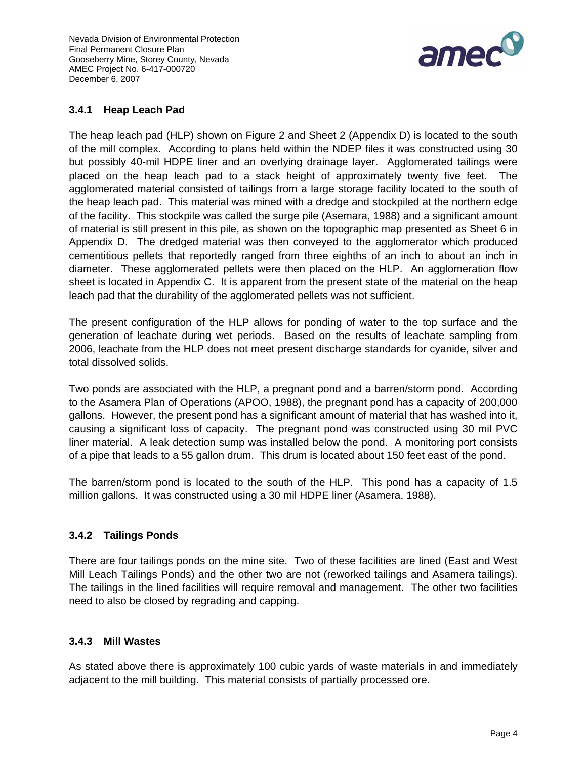

# <span id="page-7-0"></span>**3.4.1 Heap Leach Pad**

The heap leach pad (HLP) shown on Figure 2 and Sheet 2 (Appendix D) is located to the south of the mill complex. According to plans held within the NDEP files it was constructed using 30 but possibly 40-mil HDPE liner and an overlying drainage layer. Agglomerated tailings were placed on the heap leach pad to a stack height of approximately twenty five feet. The agglomerated material consisted of tailings from a large storage facility located to the south of the heap leach pad. This material was mined with a dredge and stockpiled at the northern edge of the facility. This stockpile was called the surge pile (Asemara, 1988) and a significant amount of material is still present in this pile, as shown on the topographic map presented as Sheet 6 in Appendix D. The dredged material was then conveyed to the agglomerator which produced cementitious pellets that reportedly ranged from three eighths of an inch to about an inch in diameter. These agglomerated pellets were then placed on the HLP. An agglomeration flow sheet is located in Appendix C. It is apparent from the present state of the material on the heap leach pad that the durability of the agglomerated pellets was not sufficient.

The present configuration of the HLP allows for ponding of water to the top surface and the generation of leachate during wet periods. Based on the results of leachate sampling from 2006, leachate from the HLP does not meet present discharge standards for cyanide, silver and total dissolved solids.

Two ponds are associated with the HLP, a pregnant pond and a barren/storm pond. According to the Asamera Plan of Operations (APOO, 1988), the pregnant pond has a capacity of 200,000 gallons. However, the present pond has a significant amount of material that has washed into it, causing a significant loss of capacity. The pregnant pond was constructed using 30 mil PVC liner material. A leak detection sump was installed below the pond. A monitoring port consists of a pipe that leads to a 55 gallon drum. This drum is located about 150 feet east of the pond.

The barren/storm pond is located to the south of the HLP. This pond has a capacity of 1.5 million gallons. It was constructed using a 30 mil HDPE liner (Asamera, 1988).

# **3.4.2 Tailings Ponds**

There are four tailings ponds on the mine site. Two of these facilities are lined (East and West Mill Leach Tailings Ponds) and the other two are not (reworked tailings and Asamera tailings). The tailings in the lined facilities will require removal and management. The other two facilities need to also be closed by regrading and capping.

# **3.4.3 Mill Wastes**

As stated above there is approximately 100 cubic yards of waste materials in and immediately adjacent to the mill building. This material consists of partially processed ore.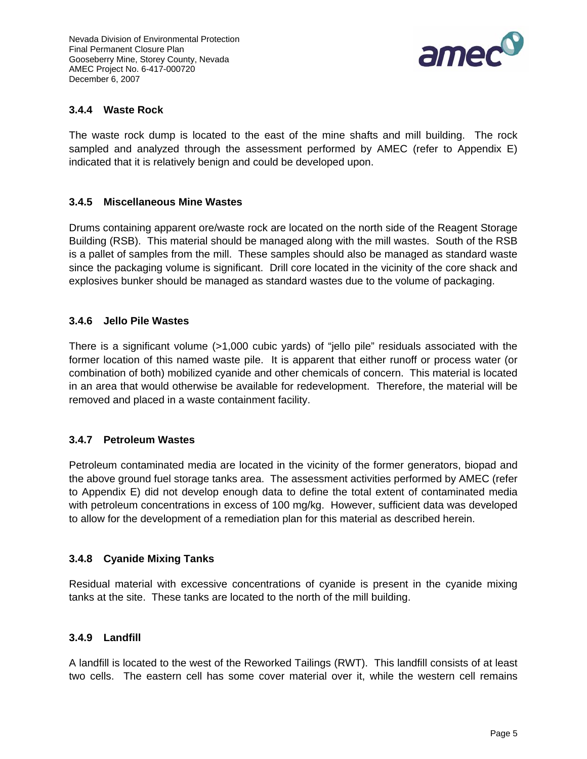

## <span id="page-8-0"></span>**3.4.4 Waste Rock**

The waste rock dump is located to the east of the mine shafts and mill building. The rock sampled and analyzed through the assessment performed by AMEC (refer to Appendix E) indicated that it is relatively benign and could be developed upon.

### **3.4.5 Miscellaneous Mine Wastes**

Drums containing apparent ore/waste rock are located on the north side of the Reagent Storage Building (RSB). This material should be managed along with the mill wastes. South of the RSB is a pallet of samples from the mill. These samples should also be managed as standard waste since the packaging volume is significant. Drill core located in the vicinity of the core shack and explosives bunker should be managed as standard wastes due to the volume of packaging.

## **3.4.6 Jello Pile Wastes**

There is a significant volume (>1,000 cubic yards) of "jello pile" residuals associated with the former location of this named waste pile. It is apparent that either runoff or process water (or combination of both) mobilized cyanide and other chemicals of concern. This material is located in an area that would otherwise be available for redevelopment. Therefore, the material will be removed and placed in a waste containment facility.

### **3.4.7 Petroleum Wastes**

Petroleum contaminated media are located in the vicinity of the former generators, biopad and the above ground fuel storage tanks area. The assessment activities performed by AMEC (refer to Appendix E) did not develop enough data to define the total extent of contaminated media with petroleum concentrations in excess of 100 mg/kg. However, sufficient data was developed to allow for the development of a remediation plan for this material as described herein.

# **3.4.8 Cyanide Mixing Tanks**

Residual material with excessive concentrations of cyanide is present in the cyanide mixing tanks at the site. These tanks are located to the north of the mill building.

# **3.4.9 Landfill**

A landfill is located to the west of the Reworked Tailings (RWT). This landfill consists of at least two cells. The eastern cell has some cover material over it, while the western cell remains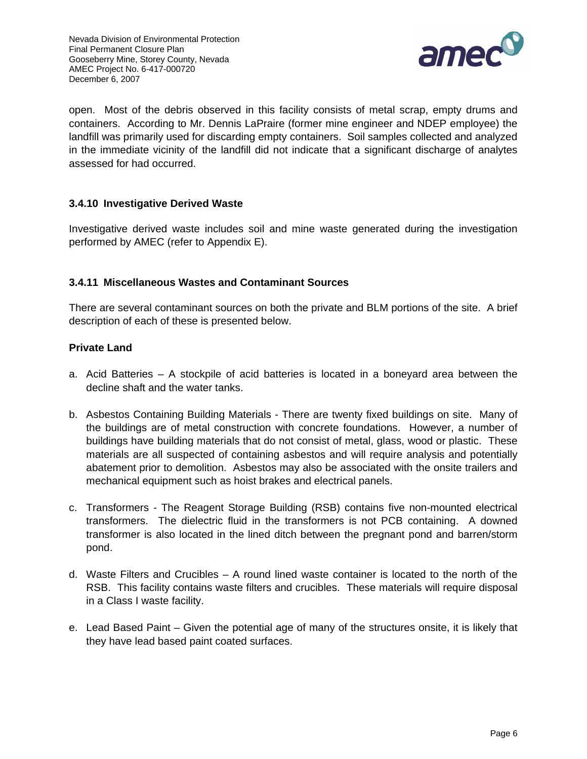

<span id="page-9-0"></span>open. Most of the debris observed in this facility consists of metal scrap, empty drums and containers. According to Mr. Dennis LaPraire (former mine engineer and NDEP employee) the landfill was primarily used for discarding empty containers. Soil samples collected and analyzed in the immediate vicinity of the landfill did not indicate that a significant discharge of analytes assessed for had occurred.

## **3.4.10 Investigative Derived Waste**

Investigative derived waste includes soil and mine waste generated during the investigation performed by AMEC (refer to Appendix E).

## **3.4.11 Miscellaneous Wastes and Contaminant Sources**

There are several contaminant sources on both the private and BLM portions of the site. A brief description of each of these is presented below.

### **Private Land**

- a. Acid Batteries A stockpile of acid batteries is located in a boneyard area between the decline shaft and the water tanks.
- b. Asbestos Containing Building Materials There are twenty fixed buildings on site. Many of the buildings are of metal construction with concrete foundations. However, a number of buildings have building materials that do not consist of metal, glass, wood or plastic. These materials are all suspected of containing asbestos and will require analysis and potentially abatement prior to demolition. Asbestos may also be associated with the onsite trailers and mechanical equipment such as hoist brakes and electrical panels.
- c. Transformers The Reagent Storage Building (RSB) contains five non-mounted electrical transformers. The dielectric fluid in the transformers is not PCB containing. A downed transformer is also located in the lined ditch between the pregnant pond and barren/storm pond.
- d. Waste Filters and Crucibles A round lined waste container is located to the north of the RSB. This facility contains waste filters and crucibles. These materials will require disposal in a Class I waste facility.
- e. Lead Based Paint Given the potential age of many of the structures onsite, it is likely that they have lead based paint coated surfaces.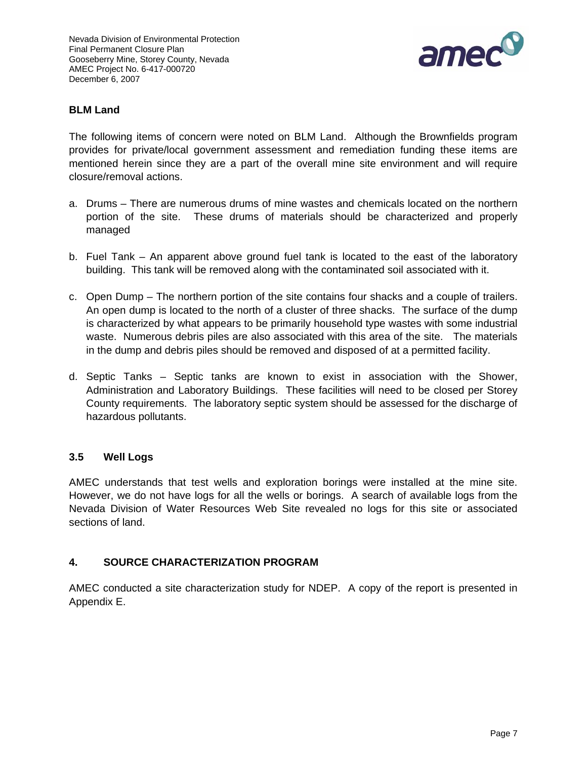

### <span id="page-10-0"></span>**BLM Land**

The following items of concern were noted on BLM Land. Although the Brownfields program provides for private/local government assessment and remediation funding these items are mentioned herein since they are a part of the overall mine site environment and will require closure/removal actions.

- a. Drums There are numerous drums of mine wastes and chemicals located on the northern portion of the site. These drums of materials should be characterized and properly managed
- b. Fuel Tank An apparent above ground fuel tank is located to the east of the laboratory building. This tank will be removed along with the contaminated soil associated with it.
- c. Open Dump The northern portion of the site contains four shacks and a couple of trailers. An open dump is located to the north of a cluster of three shacks. The surface of the dump is characterized by what appears to be primarily household type wastes with some industrial waste. Numerous debris piles are also associated with this area of the site. The materials in the dump and debris piles should be removed and disposed of at a permitted facility.
- d. Septic Tanks Septic tanks are known to exist in association with the Shower, Administration and Laboratory Buildings. These facilities will need to be closed per Storey County requirements. The laboratory septic system should be assessed for the discharge of hazardous pollutants.

### **3.5 Well Logs**

AMEC understands that test wells and exploration borings were installed at the mine site. However, we do not have logs for all the wells or borings. A search of available logs from the Nevada Division of Water Resources Web Site revealed no logs for this site or associated sections of land.

# **4. SOURCE CHARACTERIZATION PROGRAM**

AMEC conducted a site characterization study for NDEP. A copy of the report is presented in Appendix E.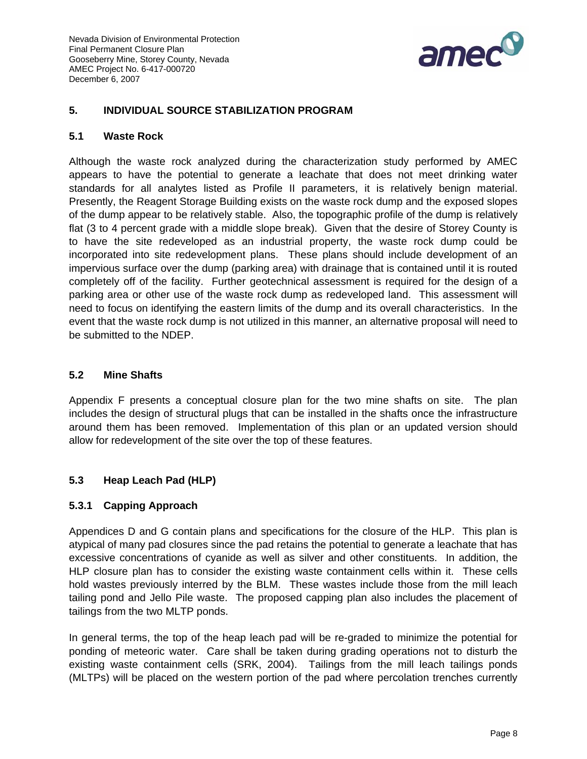

## <span id="page-11-0"></span>**5. INDIVIDUAL SOURCE STABILIZATION PROGRAM**

#### **5.1 Waste Rock**

Although the waste rock analyzed during the characterization study performed by AMEC appears to have the potential to generate a leachate that does not meet drinking water standards for all analytes listed as Profile II parameters, it is relatively benign material. Presently, the Reagent Storage Building exists on the waste rock dump and the exposed slopes of the dump appear to be relatively stable. Also, the topographic profile of the dump is relatively flat (3 to 4 percent grade with a middle slope break). Given that the desire of Storey County is to have the site redeveloped as an industrial property, the waste rock dump could be incorporated into site redevelopment plans. These plans should include development of an impervious surface over the dump (parking area) with drainage that is contained until it is routed completely off of the facility. Further geotechnical assessment is required for the design of a parking area or other use of the waste rock dump as redeveloped land. This assessment will need to focus on identifying the eastern limits of the dump and its overall characteristics. In the event that the waste rock dump is not utilized in this manner, an alternative proposal will need to be submitted to the NDEP.

#### **5.2 Mine Shafts**

Appendix F presents a conceptual closure plan for the two mine shafts on site. The plan includes the design of structural plugs that can be installed in the shafts once the infrastructure around them has been removed. Implementation of this plan or an updated version should allow for redevelopment of the site over the top of these features.

# **5.3 Heap Leach Pad (HLP)**

### **5.3.1 Capping Approach**

Appendices D and G contain plans and specifications for the closure of the HLP. This plan is atypical of many pad closures since the pad retains the potential to generate a leachate that has excessive concentrations of cyanide as well as silver and other constituents. In addition, the HLP closure plan has to consider the existing waste containment cells within it. These cells hold wastes previously interred by the BLM. These wastes include those from the mill leach tailing pond and Jello Pile waste. The proposed capping plan also includes the placement of tailings from the two MLTP ponds.

In general terms, the top of the heap leach pad will be re-graded to minimize the potential for ponding of meteoric water. Care shall be taken during grading operations not to disturb the existing waste containment cells (SRK, 2004). Tailings from the mill leach tailings ponds (MLTPs) will be placed on the western portion of the pad where percolation trenches currently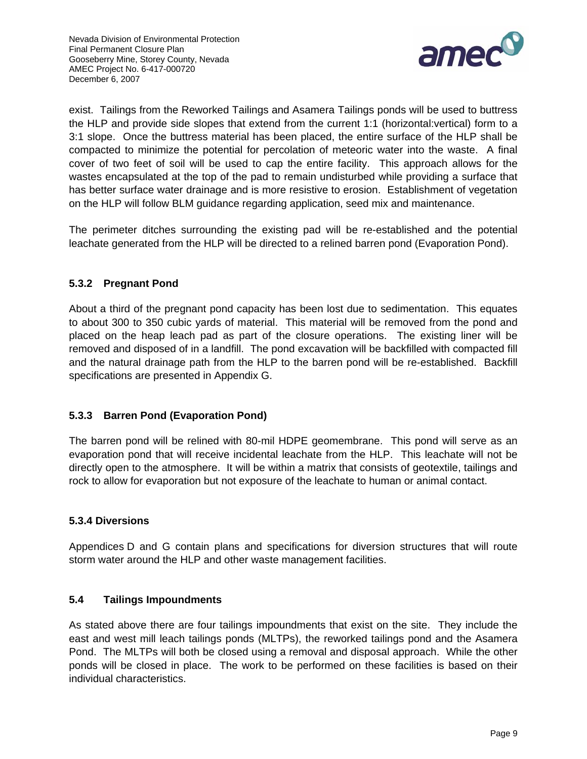

<span id="page-12-0"></span>exist. Tailings from the Reworked Tailings and Asamera Tailings ponds will be used to buttress the HLP and provide side slopes that extend from the current 1:1 (horizontal:vertical) form to a 3:1 slope. Once the buttress material has been placed, the entire surface of the HLP shall be compacted to minimize the potential for percolation of meteoric water into the waste. A final cover of two feet of soil will be used to cap the entire facility. This approach allows for the wastes encapsulated at the top of the pad to remain undisturbed while providing a surface that has better surface water drainage and is more resistive to erosion. Establishment of vegetation on the HLP will follow BLM guidance regarding application, seed mix and maintenance.

The perimeter ditches surrounding the existing pad will be re-established and the potential leachate generated from the HLP will be directed to a relined barren pond (Evaporation Pond).

# **5.3.2 Pregnant Pond**

About a third of the pregnant pond capacity has been lost due to sedimentation. This equates to about 300 to 350 cubic yards of material. This material will be removed from the pond and placed on the heap leach pad as part of the closure operations. The existing liner will be removed and disposed of in a landfill. The pond excavation will be backfilled with compacted fill and the natural drainage path from the HLP to the barren pond will be re-established. Backfill specifications are presented in Appendix G.

# **5.3.3 Barren Pond (Evaporation Pond)**

The barren pond will be relined with 80-mil HDPE geomembrane. This pond will serve as an evaporation pond that will receive incidental leachate from the HLP. This leachate will not be directly open to the atmosphere. It will be within a matrix that consists of geotextile, tailings and rock to allow for evaporation but not exposure of the leachate to human or animal contact.

# **5.3.4 Diversions**

Appendices D and G contain plans and specifications for diversion structures that will route storm water around the HLP and other waste management facilities.

# **5.4 Tailings Impoundments**

As stated above there are four tailings impoundments that exist on the site. They include the east and west mill leach tailings ponds (MLTPs), the reworked tailings pond and the Asamera Pond. The MLTPs will both be closed using a removal and disposal approach. While the other ponds will be closed in place. The work to be performed on these facilities is based on their individual characteristics.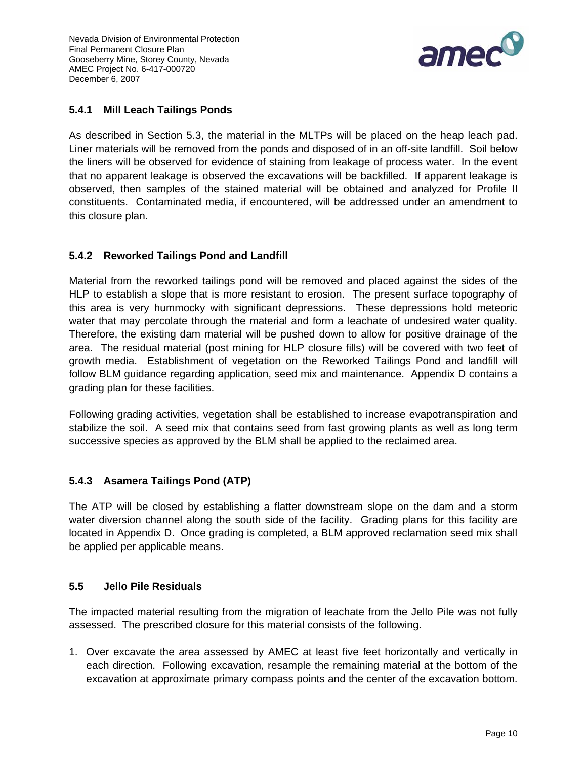<span id="page-13-0"></span>Nevada Division of Environmental Protection Final Permanent Closure Plan Gooseberry Mine, Storey County, Nevada AMEC Project No. 6-417-000720 December 6, 2007



## **5.4.1 Mill Leach Tailings Ponds**

As described in Section 5.3, the material in the MLTPs will be placed on the heap leach pad. Liner materials will be removed from the ponds and disposed of in an off-site landfill. Soil below the liners will be observed for evidence of staining from leakage of process water. In the event that no apparent leakage is observed the excavations will be backfilled. If apparent leakage is observed, then samples of the stained material will be obtained and analyzed for Profile II constituents. Contaminated media, if encountered, will be addressed under an amendment to this closure plan.

# **5.4.2 Reworked Tailings Pond and Landfill**

Material from the reworked tailings pond will be removed and placed against the sides of the HLP to establish a slope that is more resistant to erosion. The present surface topography of this area is very hummocky with significant depressions. These depressions hold meteoric water that may percolate through the material and form a leachate of undesired water quality. Therefore, the existing dam material will be pushed down to allow for positive drainage of the area. The residual material (post mining for HLP closure fills) will be covered with two feet of growth media. Establishment of vegetation on the Reworked Tailings Pond and landfill will follow BLM guidance regarding application, seed mix and maintenance. Appendix D contains a grading plan for these facilities.

Following grading activities, vegetation shall be established to increase evapotranspiration and stabilize the soil. A seed mix that contains seed from fast growing plants as well as long term successive species as approved by the BLM shall be applied to the reclaimed area.

# **5.4.3 Asamera Tailings Pond (ATP)**

The ATP will be closed by establishing a flatter downstream slope on the dam and a storm water diversion channel along the south side of the facility. Grading plans for this facility are located in Appendix D. Once grading is completed, a BLM approved reclamation seed mix shall be applied per applicable means.

### **5.5 Jello Pile Residuals**

The impacted material resulting from the migration of leachate from the Jello Pile was not fully assessed. The prescribed closure for this material consists of the following.

1. Over excavate the area assessed by AMEC at least five feet horizontally and vertically in each direction. Following excavation, resample the remaining material at the bottom of the excavation at approximate primary compass points and the center of the excavation bottom.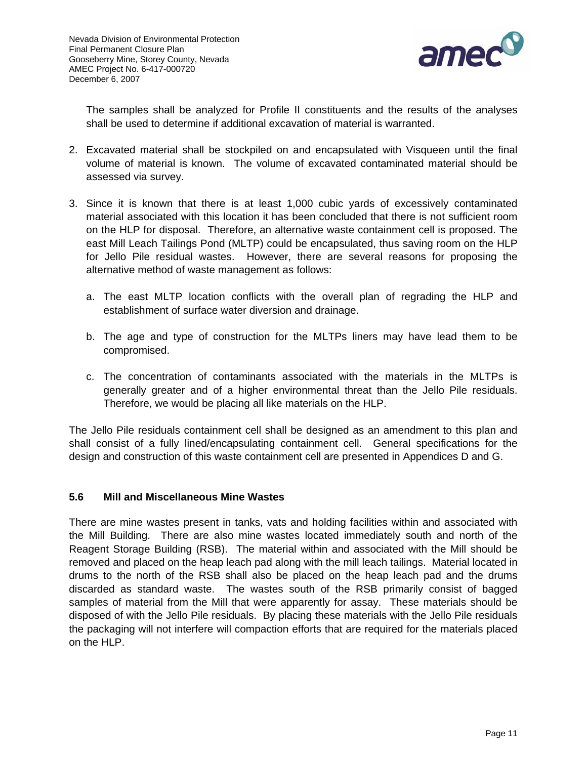

<span id="page-14-0"></span>The samples shall be analyzed for Profile II constituents and the results of the analyses shall be used to determine if additional excavation of material is warranted.

- 2. Excavated material shall be stockpiled on and encapsulated with Visqueen until the final volume of material is known. The volume of excavated contaminated material should be assessed via survey.
- 3. Since it is known that there is at least 1,000 cubic yards of excessively contaminated material associated with this location it has been concluded that there is not sufficient room on the HLP for disposal. Therefore, an alternative waste containment cell is proposed. The east Mill Leach Tailings Pond (MLTP) could be encapsulated, thus saving room on the HLP for Jello Pile residual wastes. However, there are several reasons for proposing the alternative method of waste management as follows:
	- a. The east MLTP location conflicts with the overall plan of regrading the HLP and establishment of surface water diversion and drainage.
	- b. The age and type of construction for the MLTPs liners may have lead them to be compromised.
	- c. The concentration of contaminants associated with the materials in the MLTPs is generally greater and of a higher environmental threat than the Jello Pile residuals. Therefore, we would be placing all like materials on the HLP.

The Jello Pile residuals containment cell shall be designed as an amendment to this plan and shall consist of a fully lined/encapsulating containment cell. General specifications for the design and construction of this waste containment cell are presented in Appendices D and G.

### **5.6 Mill and Miscellaneous Mine Wastes**

There are mine wastes present in tanks, vats and holding facilities within and associated with the Mill Building. There are also mine wastes located immediately south and north of the Reagent Storage Building (RSB). The material within and associated with the Mill should be removed and placed on the heap leach pad along with the mill leach tailings. Material located in drums to the north of the RSB shall also be placed on the heap leach pad and the drums discarded as standard waste. The wastes south of the RSB primarily consist of bagged samples of material from the Mill that were apparently for assay. These materials should be disposed of with the Jello Pile residuals. By placing these materials with the Jello Pile residuals the packaging will not interfere will compaction efforts that are required for the materials placed on the HLP.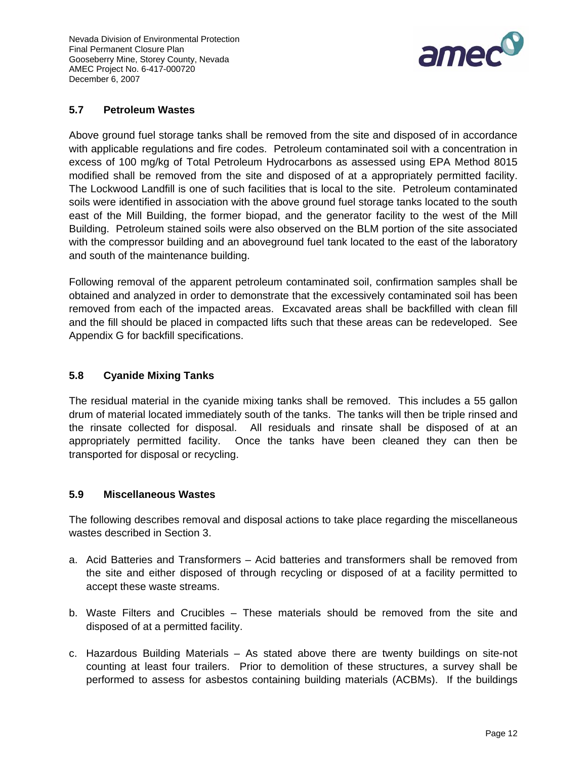<span id="page-15-0"></span>Nevada Division of Environmental Protection Final Permanent Closure Plan Gooseberry Mine, Storey County, Nevada AMEC Project No. 6-417-000720 December 6, 2007



### **5.7 Petroleum Wastes**

Above ground fuel storage tanks shall be removed from the site and disposed of in accordance with applicable regulations and fire codes. Petroleum contaminated soil with a concentration in excess of 100 mg/kg of Total Petroleum Hydrocarbons as assessed using EPA Method 8015 modified shall be removed from the site and disposed of at a appropriately permitted facility. The Lockwood Landfill is one of such facilities that is local to the site. Petroleum contaminated soils were identified in association with the above ground fuel storage tanks located to the south east of the Mill Building, the former biopad, and the generator facility to the west of the Mill Building. Petroleum stained soils were also observed on the BLM portion of the site associated with the compressor building and an aboveground fuel tank located to the east of the laboratory and south of the maintenance building.

Following removal of the apparent petroleum contaminated soil, confirmation samples shall be obtained and analyzed in order to demonstrate that the excessively contaminated soil has been removed from each of the impacted areas. Excavated areas shall be backfilled with clean fill and the fill should be placed in compacted lifts such that these areas can be redeveloped. See Appendix G for backfill specifications.

#### **5.8 Cyanide Mixing Tanks**

The residual material in the cyanide mixing tanks shall be removed. This includes a 55 gallon drum of material located immediately south of the tanks. The tanks will then be triple rinsed and the rinsate collected for disposal. All residuals and rinsate shall be disposed of at an appropriately permitted facility. Once the tanks have been cleaned they can then be transported for disposal or recycling.

#### **5.9 Miscellaneous Wastes**

The following describes removal and disposal actions to take place regarding the miscellaneous wastes described in Section 3.

- a. Acid Batteries and Transformers Acid batteries and transformers shall be removed from the site and either disposed of through recycling or disposed of at a facility permitted to accept these waste streams.
- b. Waste Filters and Crucibles These materials should be removed from the site and disposed of at a permitted facility.
- c. Hazardous Building Materials As stated above there are twenty buildings on site-not counting at least four trailers. Prior to demolition of these structures, a survey shall be performed to assess for asbestos containing building materials (ACBMs). If the buildings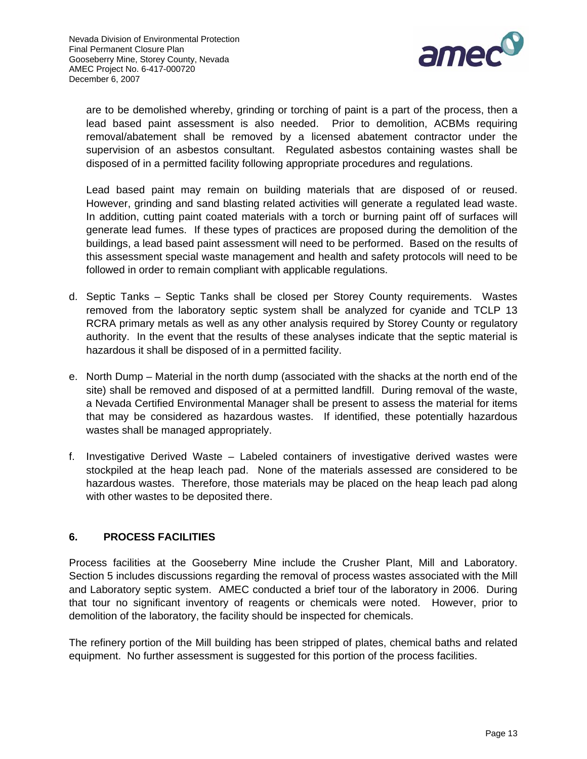

<span id="page-16-0"></span>are to be demolished whereby, grinding or torching of paint is a part of the process, then a lead based paint assessment is also needed. Prior to demolition, ACBMs requiring removal/abatement shall be removed by a licensed abatement contractor under the supervision of an asbestos consultant. Regulated asbestos containing wastes shall be disposed of in a permitted facility following appropriate procedures and regulations.

 Lead based paint may remain on building materials that are disposed of or reused. However, grinding and sand blasting related activities will generate a regulated lead waste. In addition, cutting paint coated materials with a torch or burning paint off of surfaces will generate lead fumes. If these types of practices are proposed during the demolition of the buildings, a lead based paint assessment will need to be performed. Based on the results of this assessment special waste management and health and safety protocols will need to be followed in order to remain compliant with applicable regulations.

- d. Septic Tanks Septic Tanks shall be closed per Storey County requirements. Wastes removed from the laboratory septic system shall be analyzed for cyanide and TCLP 13 RCRA primary metals as well as any other analysis required by Storey County or regulatory authority. In the event that the results of these analyses indicate that the septic material is hazardous it shall be disposed of in a permitted facility.
- e. North Dump Material in the north dump (associated with the shacks at the north end of the site) shall be removed and disposed of at a permitted landfill. During removal of the waste, a Nevada Certified Environmental Manager shall be present to assess the material for items that may be considered as hazardous wastes. If identified, these potentially hazardous wastes shall be managed appropriately.
- f. Investigative Derived Waste Labeled containers of investigative derived wastes were stockpiled at the heap leach pad. None of the materials assessed are considered to be hazardous wastes. Therefore, those materials may be placed on the heap leach pad along with other wastes to be deposited there.

# **6. PROCESS FACILITIES**

Process facilities at the Gooseberry Mine include the Crusher Plant, Mill and Laboratory. Section 5 includes discussions regarding the removal of process wastes associated with the Mill and Laboratory septic system. AMEC conducted a brief tour of the laboratory in 2006. During that tour no significant inventory of reagents or chemicals were noted. However, prior to demolition of the laboratory, the facility should be inspected for chemicals.

The refinery portion of the Mill building has been stripped of plates, chemical baths and related equipment. No further assessment is suggested for this portion of the process facilities.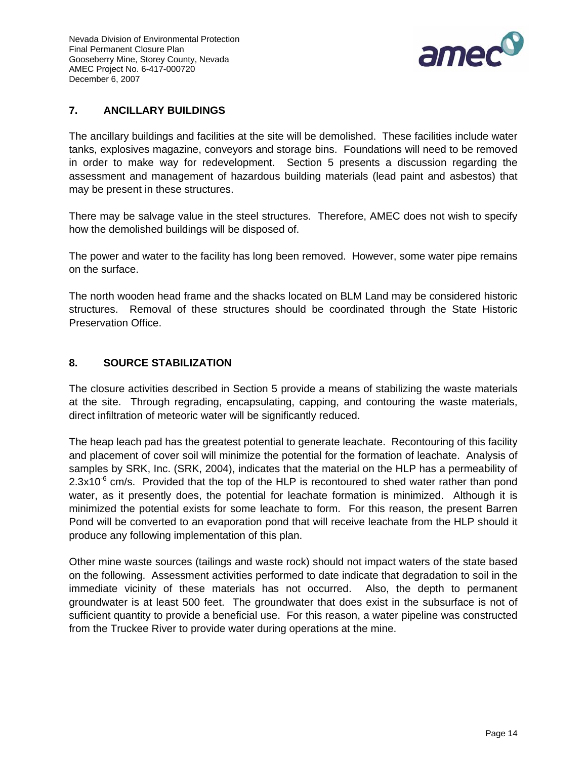

# <span id="page-17-0"></span>**7. ANCILLARY BUILDINGS**

The ancillary buildings and facilities at the site will be demolished. These facilities include water tanks, explosives magazine, conveyors and storage bins. Foundations will need to be removed in order to make way for redevelopment. Section 5 presents a discussion regarding the assessment and management of hazardous building materials (lead paint and asbestos) that may be present in these structures.

There may be salvage value in the steel structures. Therefore, AMEC does not wish to specify how the demolished buildings will be disposed of.

The power and water to the facility has long been removed. However, some water pipe remains on the surface.

The north wooden head frame and the shacks located on BLM Land may be considered historic structures. Removal of these structures should be coordinated through the State Historic Preservation Office.

### **8. SOURCE STABILIZATION**

The closure activities described in Section 5 provide a means of stabilizing the waste materials at the site. Through regrading, encapsulating, capping, and contouring the waste materials, direct infiltration of meteoric water will be significantly reduced.

The heap leach pad has the greatest potential to generate leachate. Recontouring of this facility and placement of cover soil will minimize the potential for the formation of leachate. Analysis of samples by SRK, Inc. (SRK, 2004), indicates that the material on the HLP has a permeability of  $2.3x10^{-6}$  cm/s. Provided that the top of the HLP is recontoured to shed water rather than pond water, as it presently does, the potential for leachate formation is minimized. Although it is minimized the potential exists for some leachate to form. For this reason, the present Barren Pond will be converted to an evaporation pond that will receive leachate from the HLP should it produce any following implementation of this plan.

Other mine waste sources (tailings and waste rock) should not impact waters of the state based on the following. Assessment activities performed to date indicate that degradation to soil in the immediate vicinity of these materials has not occurred. Also, the depth to permanent groundwater is at least 500 feet. The groundwater that does exist in the subsurface is not of sufficient quantity to provide a beneficial use. For this reason, a water pipeline was constructed from the Truckee River to provide water during operations at the mine.